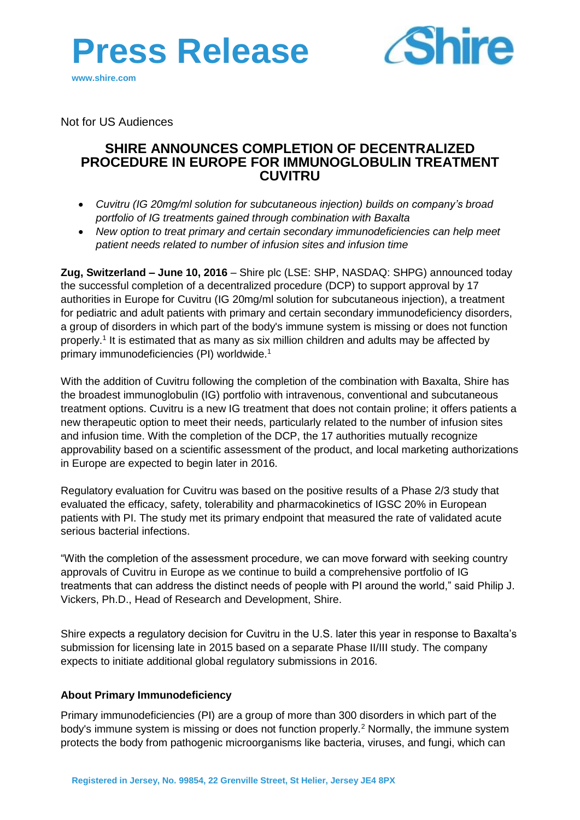



Not for US Audiences

# **SHIRE ANNOUNCES COMPLETION OF DECENTRALIZED PROCEDURE IN EUROPE FOR IMMUNOGLOBULIN TREATMENT CUVITRU**

- *Cuvitru (IG 20mg/ml solution for subcutaneous injection) builds on company's broad portfolio of IG treatments gained through combination with Baxalta*
- *New option to treat primary and certain secondary immunodeficiencies can help meet patient needs related to number of infusion sites and infusion time*

**Zug, Switzerland – June 10, 2016** – Shire plc (LSE: SHP, NASDAQ: SHPG) announced today the successful completion of a decentralized procedure (DCP) to support approval by 17 authorities in Europe for Cuvitru (IG 20mg/ml solution for subcutaneous injection), a treatment for pediatric and adult patients with primary and certain secondary immunodeficiency disorders, a group of disorders in which part of the body's immune system is missing or does not function properly.<sup>1</sup> It is estimated that as many as six million children and adults may be affected by primary immunodeficiencies (PI) worldwide. 1

With the addition of Cuvitru following the completion of the combination with Baxalta, Shire has the broadest immunoglobulin (IG) portfolio with intravenous, conventional and subcutaneous treatment options. Cuvitru is a new IG treatment that does not contain proline; it offers patients a new therapeutic option to meet their needs, particularly related to the number of infusion sites and infusion time. With the completion of the DCP, the 17 authorities mutually recognize approvability based on a scientific assessment of the product, and local marketing authorizations in Europe are expected to begin later in 2016.

Regulatory evaluation for Cuvitru was based on the positive results of a Phase 2/3 study that evaluated the efficacy, safety, tolerability and pharmacokinetics of IGSC 20% in European patients with PI. The study met its primary endpoint that measured the rate of validated acute serious bacterial infections.

"With the completion of the assessment procedure, we can move forward with seeking country approvals of Cuvitru in Europe as we continue to build a comprehensive portfolio of IG treatments that can address the distinct needs of people with PI around the world," said Philip J. Vickers, Ph.D., Head of Research and Development, Shire.

Shire expects a regulatory decision for Cuvitru in the U.S. later this year in response to Baxalta's submission for licensing late in 2015 based on a separate Phase II/III study. The company expects to initiate additional global regulatory submissions in 2016.

### **About Primary Immunodeficiency**

Primary immunodeficiencies (PI) are a group of more than 300 disorders in which part of the body's immune system is missing or does not function properly.<sup>2</sup> Normally, the immune system protects the body from pathogenic microorganisms like bacteria, viruses, and fungi, which can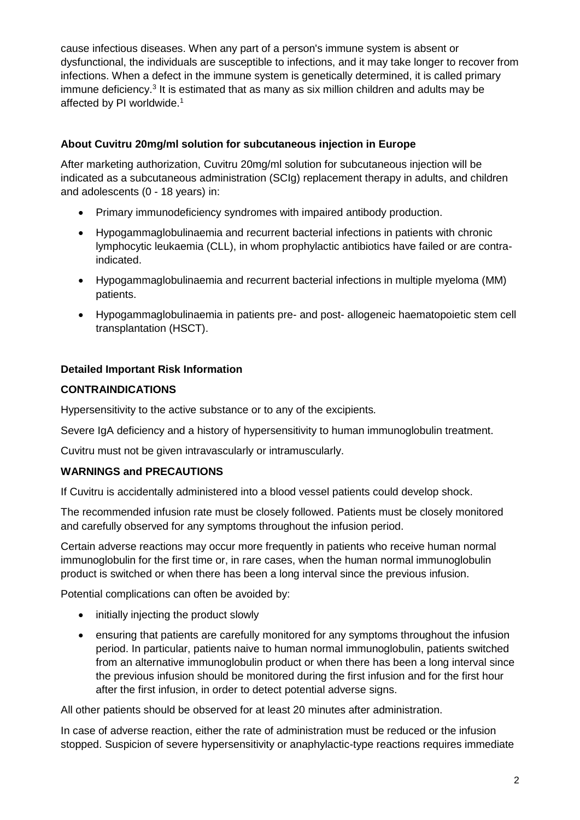cause infectious diseases. When any part of a person's immune system is absent or dysfunctional, the individuals are susceptible to infections, and it may take longer to recover from infections. When a defect in the immune system is genetically determined, it is called primary immune deficiency.<sup>3</sup> It is estimated that as many as six million children and adults may be affected by PI worldwide.<sup>1</sup>

## **About Cuvitru 20mg/ml solution for subcutaneous injection in Europe**

After marketing authorization, Cuvitru 20mg/ml solution for subcutaneous injection will be indicated as a subcutaneous administration (SCIg) replacement therapy in adults, and children and adolescents (0 - 18 years) in:

- Primary immunodeficiency syndromes with impaired antibody production.
- Hypogammaglobulinaemia and recurrent bacterial infections in patients with chronic lymphocytic leukaemia (CLL), in whom prophylactic antibiotics have failed or are contraindicated.
- Hypogammaglobulinaemia and recurrent bacterial infections in multiple myeloma (MM) patients.
- Hypogammaglobulinaemia in patients pre- and post- allogeneic haematopoietic stem cell transplantation (HSCT).

## **Detailed Important Risk Information**

## **CONTRAINDICATIONS**

Hypersensitivity to the active substance or to any of the excipients*.* 

Severe IgA deficiency and a history of hypersensitivity to human immunoglobulin treatment.

Cuvitru must not be given intravascularly or intramuscularly.

### **WARNINGS and PRECAUTIONS**

If Cuvitru is accidentally administered into a blood vessel patients could develop shock.

The recommended infusion rate must be closely followed. Patients must be closely monitored and carefully observed for any symptoms throughout the infusion period.

Certain adverse reactions may occur more frequently in patients who receive human normal immunoglobulin for the first time or, in rare cases, when the human normal immunoglobulin product is switched or when there has been a long interval since the previous infusion.

Potential complications can often be avoided by:

- initially injecting the product slowly
- ensuring that patients are carefully monitored for any symptoms throughout the infusion period. In particular, patients naive to human normal immunoglobulin, patients switched from an alternative immunoglobulin product or when there has been a long interval since the previous infusion should be monitored during the first infusion and for the first hour after the first infusion, in order to detect potential adverse signs.

All other patients should be observed for at least 20 minutes after administration.

In case of adverse reaction, either the rate of administration must be reduced or the infusion stopped. Suspicion of severe hypersensitivity or anaphylactic-type reactions requires immediate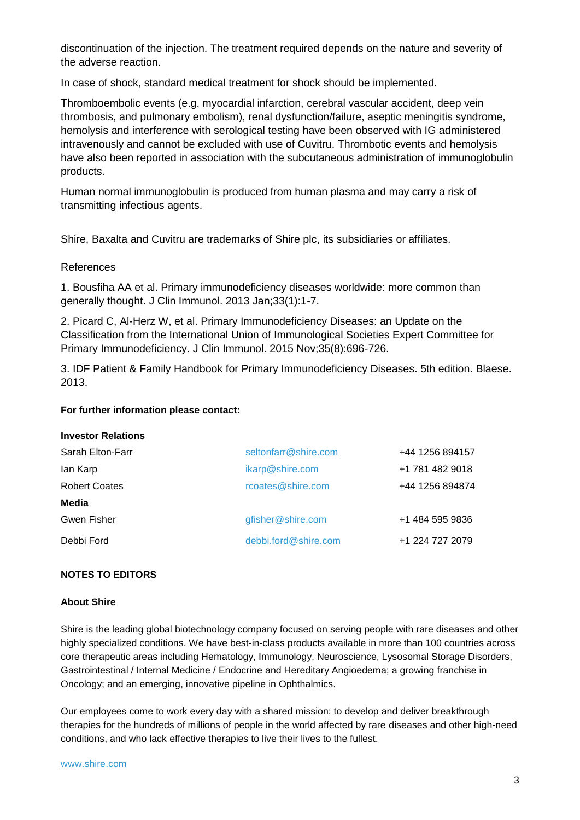discontinuation of the injection. The treatment required depends on the nature and severity of the adverse reaction.

In case of shock, standard medical treatment for shock should be implemented.

Thromboembolic events (e.g. myocardial infarction, cerebral vascular accident, deep vein thrombosis, and pulmonary embolism), renal dysfunction/failure, aseptic meningitis syndrome, hemolysis and interference with serological testing have been observed with IG administered intravenously and cannot be excluded with use of Cuvitru. Thrombotic events and hemolysis have also been reported in association with the subcutaneous administration of immunoglobulin products.

Human normal immunoglobulin is produced from human plasma and may carry a risk of transmitting infectious agents.

Shire, Baxalta and Cuvitru are trademarks of Shire plc, its subsidiaries or affiliates.

### References

1. Bousfiha AA et al. Primary immunodeficiency diseases worldwide: more common than generally thought. J Clin Immunol. 2013 Jan;33(1):1-7.

2. Picard C, Al-Herz W, et al. Primary Immunodeficiency Diseases: an Update on the Classification from the International Union of Immunological Societies Expert Committee for Primary Immunodeficiency. J Clin Immunol. 2015 Nov;35(8):696-726.

3. IDF Patient & Family Handbook for Primary Immunodeficiency Diseases. 5th edition. Blaese. 2013.

#### **For further information please contact:**

#### **Investor Relations**

| Sarah Elton-Farr     | seltonfarr@shire.com | +44 1256 894157 |
|----------------------|----------------------|-----------------|
| lan Karp             | ikarp@shire.com      | +1 781 482 9018 |
| <b>Robert Coates</b> | rcoates@shire.com    | +44 1256 894874 |
| Media                |                      |                 |
| Gwen Fisher          | gfisher@shire.com    | +1 484 595 9836 |
| Debbi Ford           | debbi.ford@shire.com | +1 224 727 2079 |

### **NOTES TO EDITORS**

#### **About Shire**

Shire is the leading global biotechnology company focused on serving people with rare diseases and other highly specialized conditions. We have best-in-class products available in more than 100 countries across core therapeutic areas including Hematology, Immunology, Neuroscience, Lysosomal Storage Disorders, Gastrointestinal / Internal Medicine / Endocrine and Hereditary Angioedema; a growing franchise in Oncology; and an emerging, innovative pipeline in Ophthalmics.

Our employees come to work every day with a shared mission: to develop and deliver breakthrough therapies for the hundreds of millions of people in the world affected by rare diseases and other high-need conditions, and who lack effective therapies to live their lives to the fullest.